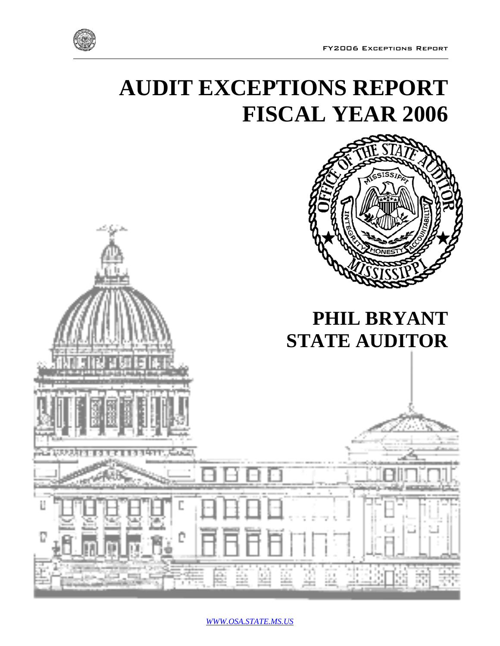

# **AUDIT EXCEPTIONS REPORT FISCAL YEAR 2006**



*WWW.OSA.STATE.MS.US*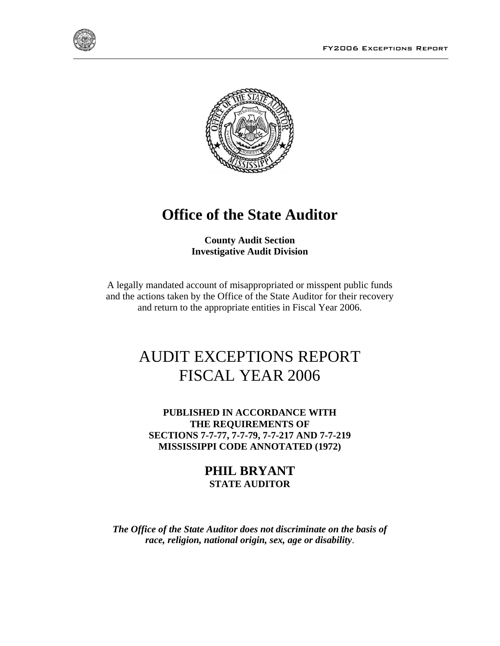



## **Office of the State Auditor**

**County Audit Section Investigative Audit Division**

A legally mandated account of misappropriated or misspent public funds and the actions taken by the Office of the State Auditor for their recovery and return to the appropriate entities in Fiscal Year 2006.

## AUDIT EXCEPTIONS REPORT FISCAL YEAR 2006

**PUBLISHED IN ACCORDANCE WITH THE REQUIREMENTS OF SECTIONS 7-7-77, 7-7-79, 7-7-217 AND 7-7-219 MISSISSIPPI CODE ANNOTATED (1972)** 

> **PHIL BRYANT STATE AUDITOR**

*The Office of the State Auditor does not discriminate on the basis of race, religion, national origin, sex, age or disability*.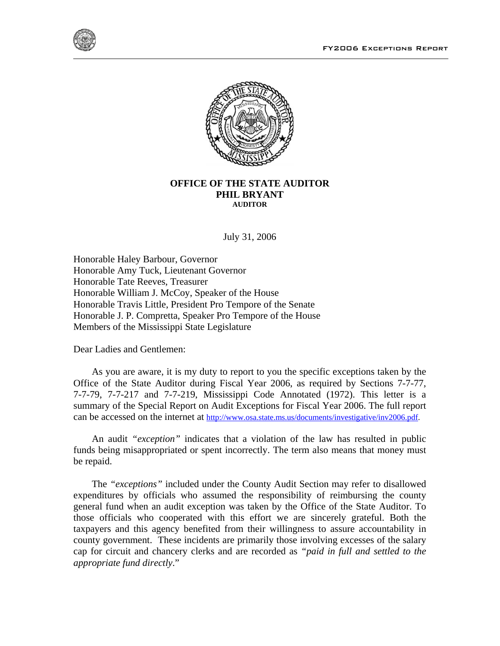



#### **OFFICE OF THE STATE AUDITOR PHIL BRYANT AUDITOR**

July 31, 2006

Honorable Haley Barbour, Governor Honorable Amy Tuck, Lieutenant Governor Honorable Tate Reeves, Treasurer Honorable William J. McCoy, Speaker of the House Honorable Travis Little, President Pro Tempore of the Senate Honorable J. P. Compretta, Speaker Pro Tempore of the House Members of the Mississippi State Legislature

Dear Ladies and Gentlemen:

 As you are aware, it is my duty to report to you the specific exceptions taken by the Office of the State Auditor during Fiscal Year 2006, as required by Sections 7-7-77, 7-7-79, 7-7-217 and 7-7-219, Mississippi Code Annotated (1972). This letter is a summary of the Special Report on Audit Exceptions for Fiscal Year 2006. The full report can be accessed on the internet at http://www.osa.state.ms.us/documents/investigative/inv2006.pdf.

 An audit *"exception"* indicates that a violation of the law has resulted in public funds being misappropriated or spent incorrectly. The term also means that money must be repaid.

 The *"exceptions"* included under the County Audit Section may refer to disallowed expenditures by officials who assumed the responsibility of reimbursing the county general fund when an audit exception was taken by the Office of the State Auditor. To those officials who cooperated with this effort we are sincerely grateful. Both the taxpayers and this agency benefited from their willingness to assure accountability in county government. These incidents are primarily those involving excesses of the salary cap for circuit and chancery clerks and are recorded as *"paid in full and settled to the appropriate fund directly*."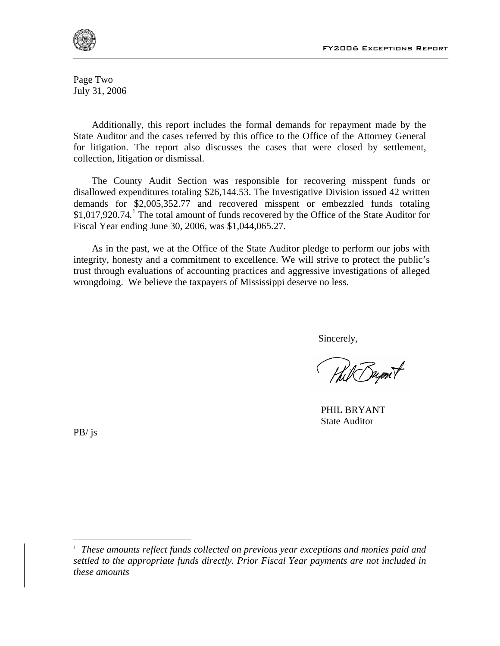

Page Two July 31, 2006

 Additionally, this report includes the formal demands for repayment made by the State Auditor and the cases referred by this office to the Office of the Attorney General for litigation. The report also discusses the cases that were closed by settlement, collection, litigation or dismissal.

 The County Audit Section was responsible for recovering misspent funds or disallowed expenditures totaling \$26,144.53. The Investigative Division issued 42 written demands for \$2,005,352.77 and recovered misspent or embezzled funds totaling \$1,017,920.74.<sup>1</sup> The total amount of funds recovered by the Office of the State Auditor for Fiscal Year ending June 30, 2006, was \$1,044,065.27.

 As in the past, we at the Office of the State Auditor pledge to perform our jobs with integrity, honesty and a commitment to excellence. We will strive to protect the public's trust through evaluations of accounting practices and aggressive investigations of alleged wrongdoing. We believe the taxpayers of Mississippi deserve no less.

Sincerely,

 PHIL BRYANT State Auditor

PB/ js

 $\overline{\phantom{a}}$ 

<sup>&</sup>lt;sup>1</sup> These amounts reflect funds collected on previous year exceptions and monies paid and *settled to the appropriate funds directly. Prior Fiscal Year payments are not included in these amounts*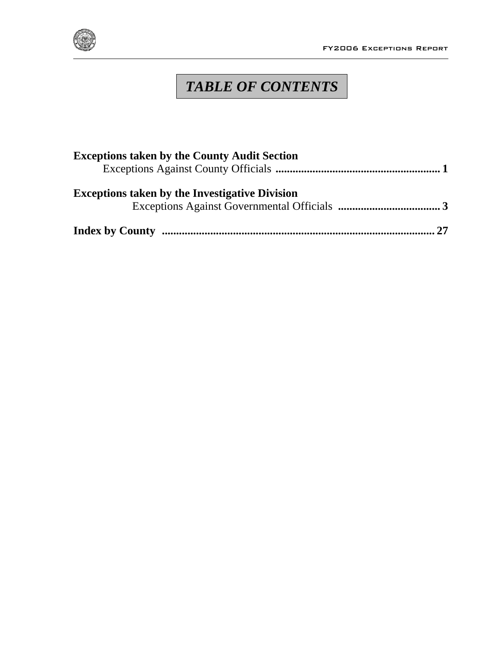

## *TABLE OF CONTENTS*

| <b>Exceptions taken by the County Audit Section</b>   |  |
|-------------------------------------------------------|--|
| <b>Exceptions taken by the Investigative Division</b> |  |
|                                                       |  |
|                                                       |  |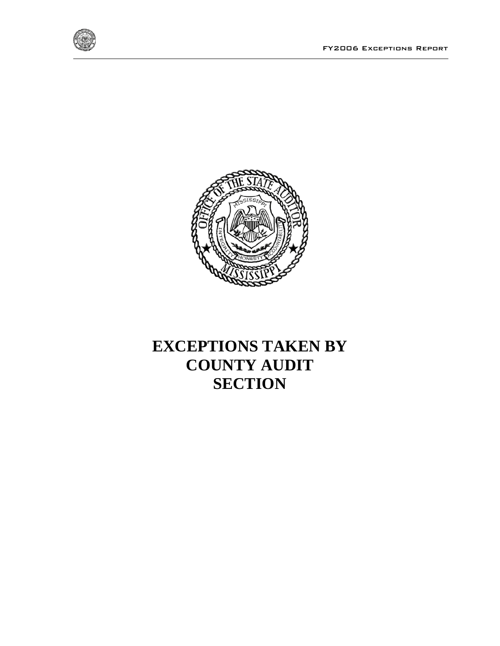



## **EXCEPTIONS TAKEN BY COUNTY AUDIT SECTION**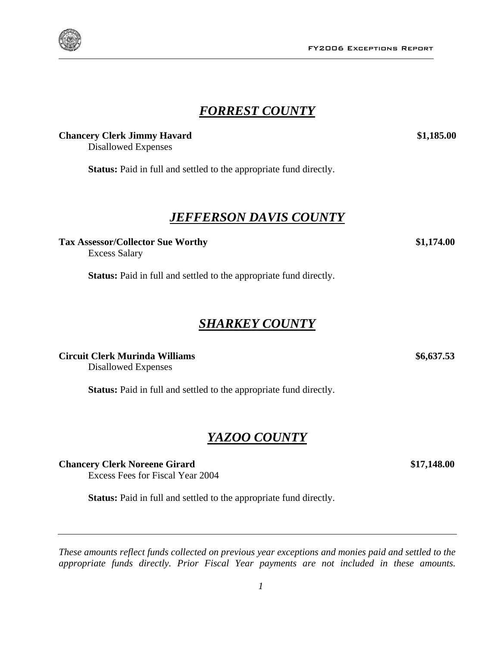### *FORREST COUNTY*

#### **Chancery Clerk Jimmy Havard \$1,185.00 \$1,185.00**

Disallowed Expenses

**Status:** Paid in full and settled to the appropriate fund directly.

### *JEFFERSON DAVIS COUNTY*

**Tax Assessor/Collector Sue Worthy \$1,174.00**

Excess Salary

**Status:** Paid in full and settled to the appropriate fund directly.

### *SHARKEY COUNTY*

**Circuit Clerk Murinda Williams \$6,637.53** 

Disallowed Expenses

Status: Paid in full and settled to the appropriate fund directly.

### *YAZOO COUNTY*

**Chancery Clerk Noreene Girard \$17,148.00**

Excess Fees for Fiscal Year 2004

**Status:** Paid in full and settled to the appropriate fund directly.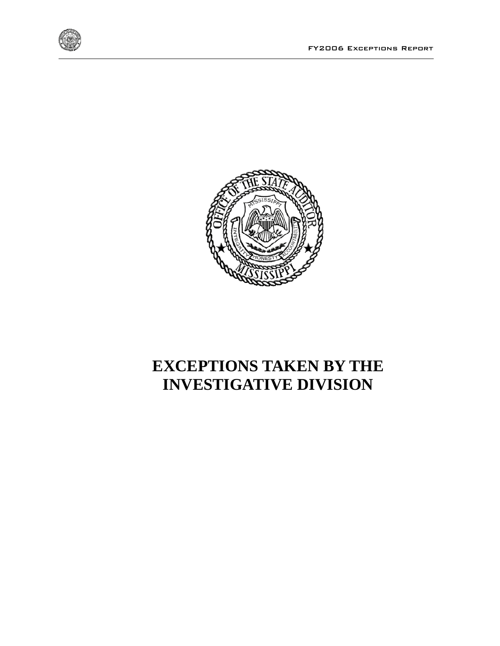





## **EXCEPTIONS TAKEN BY THE INVESTIGATIVE DIVISION**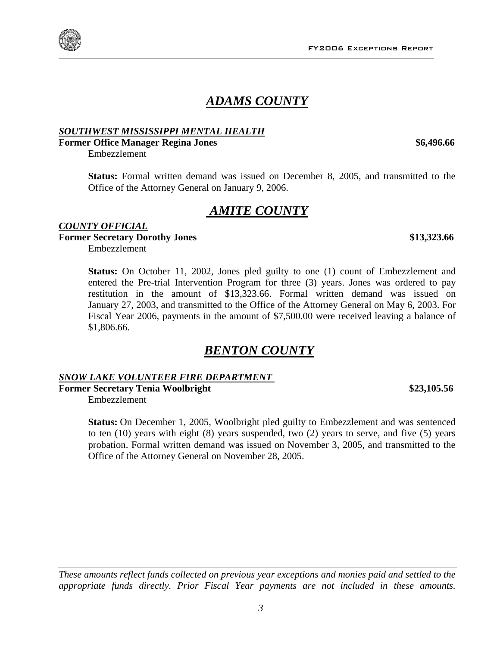FY2006 Exceptions Report

### *ADAMS COUNTY*

### *SOUTHWEST MISSISSIPPI MENTAL HEALTH*

#### **Former Office Manager Regina Jones**   $$6,496.66$

Embezzlement

**Status:** Formal written demand was issued on December 8, 2005, and transmitted to the Office of the Attorney General on January 9, 2006.

### *AMITE COUNTY*

### *COUNTY OFFICIAL* **Former Secretary Dorothy Jones** \$13,323.66

Embezzlement

**Status:** On October 11, 2002, Jones pled guilty to one (1) count of Embezzlement and entered the Pre-trial Intervention Program for three (3) years. Jones was ordered to pay restitution in the amount of \$13,323.66. Formal written demand was issued on January 27, 2003, and transmitted to the Office of the Attorney General on May 6, 2003. For Fiscal Year 2006, payments in the amount of \$7,500.00 were received leaving a balance of \$1,806.66.

### *BENTON COUNTY*

### *SNOW LAKE VOLUNTEER FIRE DEPARTMENT*

**Former Secretary Tenia Woolbright \$23,105.56** 

Embezzlement

**Status:** On December 1, 2005, Woolbright pled guilty to Embezzlement and was sentenced to ten (10) years with eight (8) years suspended, two (2) years to serve, and five (5) years probation. Formal written demand was issued on November 3, 2005, and transmitted to the Office of the Attorney General on November 28, 2005.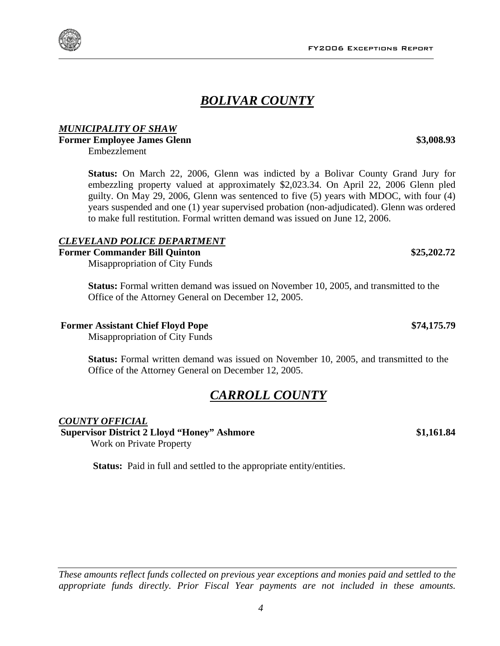FY2006 Exceptions Report

### *BOLIVAR COUNTY*

### *MUNICIPALITY OF SHAW*

**Former Employee James Glenn** \$3,008.93

Embezzlement

**Status:** On March 22, 2006, Glenn was indicted by a Bolivar County Grand Jury for embezzling property valued at approximately \$2,023.34. On April 22, 2006 Glenn pled guilty. On May 29, 2006, Glenn was sentenced to five (5) years with MDOC, with four (4) years suspended and one (1) year supervised probation (non-adjudicated). Glenn was ordered to make full restitution. Formal written demand was issued on June 12, 2006.

### *CLEVELAND POLICE DEPARTMENT*

### **Former Commander Bill Quinton \$25,202.72**

Misappropriation of City Funds

**Status:** Formal written demand was issued on November 10, 2005, and transmitted to the Office of the Attorney General on December 12, 2005.

### **Former Assistant Chief Floyd Pope**   $$74,175.79$

Misappropriation of City Funds

**Status:** Formal written demand was issued on November 10, 2005, and transmitted to the Office of the Attorney General on December 12, 2005.

### *CARROLL COUNTY*

### *COUNTY OFFICIAL* **Supervisor District 2 Lloyd "Honey" Ashmore \$1,161.84**

Work on Private Property

*These amounts reflect funds collected on previous year exceptions and monies paid and settled to the appropriate funds directly. Prior Fiscal Year payments are not included in these amounts.*

**Status:** Paid in full and settled to the appropriate entity/entities.



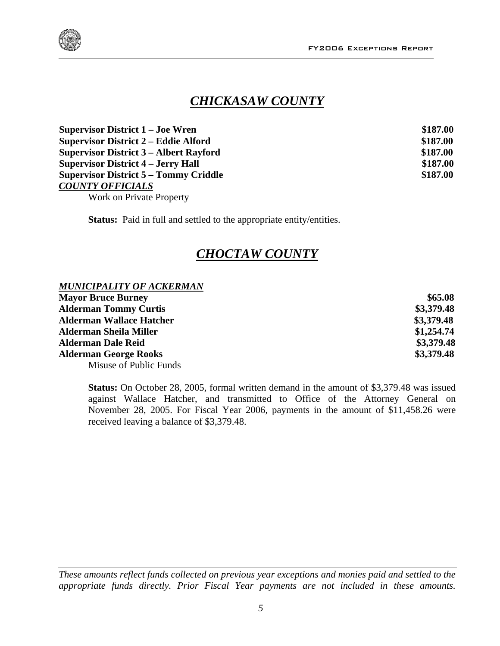

### *CHICKASAW COUNTY*

| <b>Supervisor District 1 – Joe Wren</b>       | \$187.00 |
|-----------------------------------------------|----------|
| <b>Supervisor District 2 – Eddie Alford</b>   | \$187.00 |
| <b>Supervisor District 3 – Albert Rayford</b> | \$187.00 |
| <b>Supervisor District 4 – Jerry Hall</b>     | \$187.00 |
| <b>Supervisor District 5 – Tommy Criddle</b>  | \$187.00 |
| <b>COUNTY OFFICIALS</b>                       |          |

Work on Private Property

**Status:** Paid in full and settled to the appropriate entity/entities.

### *CHOCTAW COUNTY*

#### *MUNICIPALITY OF ACKERMAN* **Mayor Bruce Burney 365.08 Alderman Tommy Curtis \$3,379.48 Alderman Wallace Hatcher \$3,379.48 Alderman Sheila Miller \$1,254.74 Alderman Dale Reid \$3,379.48 Alderman George Rooks \$3,379.48**  Misuse of Public Funds

**Status:** On October 28, 2005, formal written demand in the amount of \$3,379.48 was issued against Wallace Hatcher, and transmitted to Office of the Attorney General on November 28, 2005. For Fiscal Year 2006, payments in the amount of \$11,458.26 were received leaving a balance of \$3,379.48.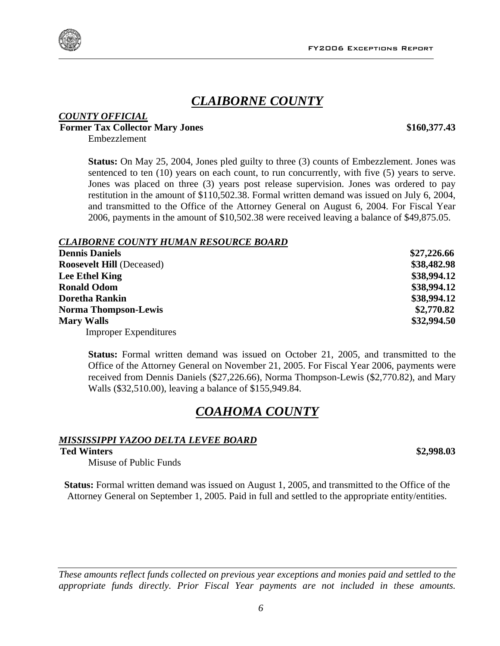### *CLAIBORNE COUNTY*

### *COUNTY OFFICIAL* **Former Tax Collector Mary Jones \$160,377.43**

Embezzlement

**Status:** On May 25, 2004, Jones pled guilty to three (3) counts of Embezzlement. Jones was sentenced to ten (10) years on each count, to run concurrently, with five (5) years to serve. Jones was placed on three (3) years post release supervision. Jones was ordered to pay restitution in the amount of \$110,502.38. Formal written demand was issued on July 6, 2004, and transmitted to the Office of the Attorney General on August 6, 2004. For Fiscal Year 2006, payments in the amount of \$10,502.38 were received leaving a balance of \$49,875.05.

#### *CLAIBORNE COUNTY HUMAN RESOURCE BOARD*

| <b>Dennis Daniels</b>            | \$27,226.66 |
|----------------------------------|-------------|
| <b>Roosevelt Hill (Deceased)</b> | \$38,482.98 |
| Lee Ethel King                   | \$38,994.12 |
| <b>Ronald Odom</b>               | \$38,994.12 |
| <b>Doretha Rankin</b>            | \$38,994.12 |
| <b>Norma Thompson-Lewis</b>      | \$2,770.82  |
| <b>Mary Walls</b>                | \$32,994.50 |
| <b>Improper Expenditures</b>     |             |

**Status:** Formal written demand was issued on October 21, 2005, and transmitted to the Office of the Attorney General on November 21, 2005. For Fiscal Year 2006, payments were received from Dennis Daniels (\$27,226.66), Norma Thompson-Lewis (\$2,770.82), and Mary Walls (\$32,510.00), leaving a balance of \$155,949.84.

### *COAHOMA COUNTY*

#### *MISSISSIPPI YAZOO DELTA LEVEE BOARD*

### **Ted Winters \$2,998.03**

Misuse of Public Funds

**Status:** Formal written demand was issued on August 1, 2005, and transmitted to the Office of the Attorney General on September 1, 2005. Paid in full and settled to the appropriate entity/entities.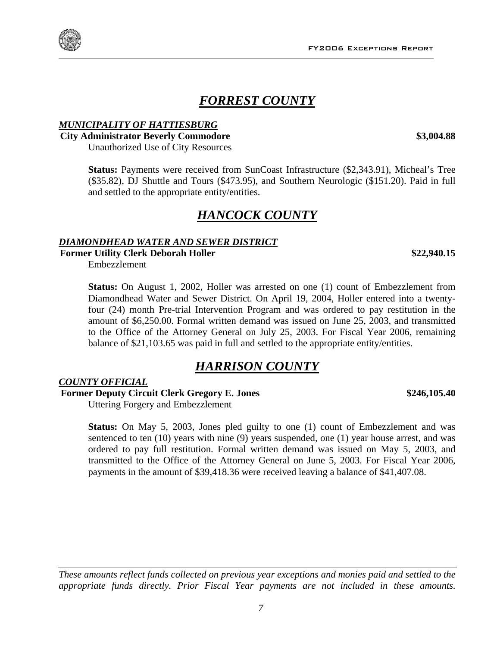### *FORREST COUNTY*

#### *MUNICIPALITY OF HATTIESBURG*

#### **City Administrator Beverly Commodore \$3,004.88**  Unauthorized Use of City Resources

**Status:** Payments were received from SunCoast Infrastructure (\$2,343.91), Micheal's Tree (\$35.82), DJ Shuttle and Tours (\$473.95), and Southern Neurologic (\$151.20). Paid in full and settled to the appropriate entity/entities.

### *HANCOCK COUNTY*

#### *DIAMONDHEAD WATER AND SEWER DISTRICT*

**Former Utility Clerk Deborah Holler 10.15 <b>\$22,940.15 \$22,940.15** 

Embezzlement

**Status:** On August 1, 2002, Holler was arrested on one (1) count of Embezzlement from Diamondhead Water and Sewer District. On April 19, 2004, Holler entered into a twentyfour (24) month Pre-trial Intervention Program and was ordered to pay restitution in the amount of \$6,250.00. Formal written demand was issued on June 25, 2003, and transmitted to the Office of the Attorney General on July 25, 2003. For Fiscal Year 2006, remaining balance of \$21,103.65 was paid in full and settled to the appropriate entity/entities.

### *HARRISON COUNTY*

#### *COUNTY OFFICIAL*

**Former Deputy Circuit Clerk Gregory E. Jones \$246,105.40** 

Uttering Forgery and Embezzlement

**Status:** On May 5, 2003, Jones pled guilty to one (1) count of Embezzlement and was sentenced to ten (10) years with nine (9) years suspended, one (1) year house arrest, and was ordered to pay full restitution. Formal written demand was issued on May 5, 2003, and transmitted to the Office of the Attorney General on June 5, 2003. For Fiscal Year 2006, payments in the amount of \$39,418.36 were received leaving a balance of \$41,407.08.

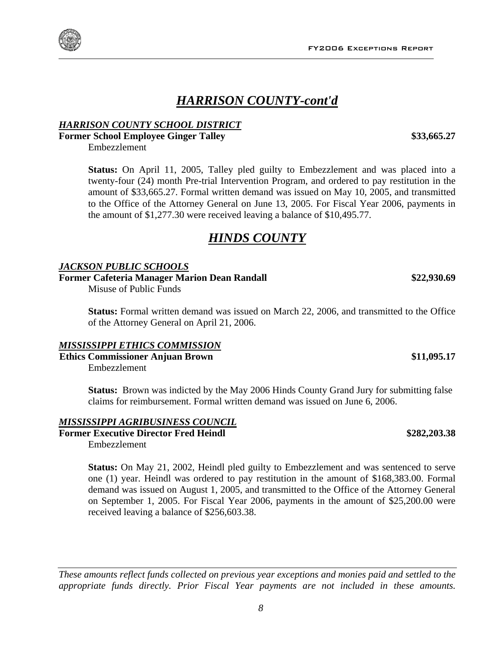### *HARRISON COUNTY-cont'd*

#### *HARRISON COUNTY SCHOOL DISTRICT*

**Former School Employee Ginger Talley 333,665.27** 

Embezzlement

**Status:** On April 11, 2005, Talley pled guilty to Embezzlement and was placed into a twenty-four (24) month Pre-trial Intervention Program, and ordered to pay restitution in the amount of \$33,665.27. Formal written demand was issued on May 10, 2005, and transmitted to the Office of the Attorney General on June 13, 2005. For Fiscal Year 2006, payments in the amount of \$1,277.30 were received leaving a balance of \$10,495.77.

### *HINDS COUNTY*

#### *JACKSON PUBLIC SCHOOLS*

**Former Cafeteria Manager Marion Dean Randall \$22,930.69** 

Misuse of Public Funds

**Status:** Formal written demand was issued on March 22, 2006, and transmitted to the Office of the Attorney General on April 21, 2006.

#### *MISSISSIPPI ETHICS COMMISSION*

**Ethics Commissioner Anjuan Brown \$11,095.17**  Embezzlement

**Status:** Brown was indicted by the May 2006 Hinds County Grand Jury for submitting false claims for reimbursement. Formal written demand was issued on June 6, 2006.

#### *MISSISSIPPI AGRIBUSINESS COUNCIL*

**Former Executive Director Fred Heindl \$282,203.38** 

Embezzlement

**Status:** On May 21, 2002, Heindl pled guilty to Embezzlement and was sentenced to serve one (1) year. Heindl was ordered to pay restitution in the amount of \$168,383.00. Formal demand was issued on August 1, 2005, and transmitted to the Office of the Attorney General on September 1, 2005. For Fiscal Year 2006, payments in the amount of \$25,200.00 were received leaving a balance of \$256,603.38.



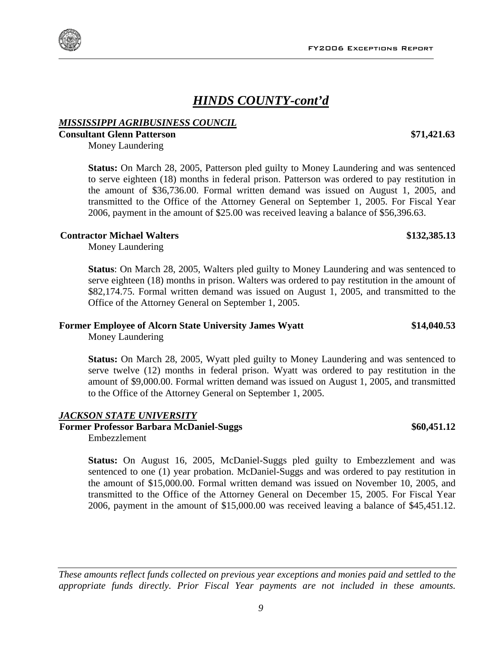### *HINDS COUNTY-cont'd*

#### *MISSISSIPPI AGRIBUSINESS COUNCIL*

**Consultant Glenn Patterson \$71,421.63** 

Money Laundering

**Status:** On March 28, 2005, Patterson pled guilty to Money Laundering and was sentenced to serve eighteen (18) months in federal prison. Patterson was ordered to pay restitution in the amount of \$36,736.00. Formal written demand was issued on August 1, 2005, and transmitted to the Office of the Attorney General on September 1, 2005. For Fiscal Year 2006, payment in the amount of \$25.00 was received leaving a balance of \$56,396.63.

#### **Contractor Michael Walters \$132,385.13**

Money Laundering

**Status**: On March 28, 2005, Walters pled guilty to Money Laundering and was sentenced to serve eighteen (18) months in prison. Walters was ordered to pay restitution in the amount of \$82,174.75. Formal written demand was issued on August 1, 2005, and transmitted to the Office of the Attorney General on September 1, 2005.

#### **Former Employee of Alcorn State University James Wyatt \$14,040.53**

Money Laundering

**Status:** On March 28, 2005, Wyatt pled guilty to Money Laundering and was sentenced to serve twelve (12) months in federal prison. Wyatt was ordered to pay restitution in the amount of \$9,000.00. Formal written demand was issued on August 1, 2005, and transmitted to the Office of the Attorney General on September 1, 2005.

### *JACKSON STATE UNIVERSITY*

### **Former Professor Barbara McDaniel-Suggs \$60,451.12**

Embezzlement

**Status:** On August 16, 2005, McDaniel-Suggs pled guilty to Embezzlement and was sentenced to one (1) year probation. McDaniel-Suggs and was ordered to pay restitution in the amount of \$15,000.00. Formal written demand was issued on November 10, 2005, and transmitted to the Office of the Attorney General on December 15, 2005. For Fiscal Year 2006, payment in the amount of \$15,000.00 was received leaving a balance of \$45,451.12.

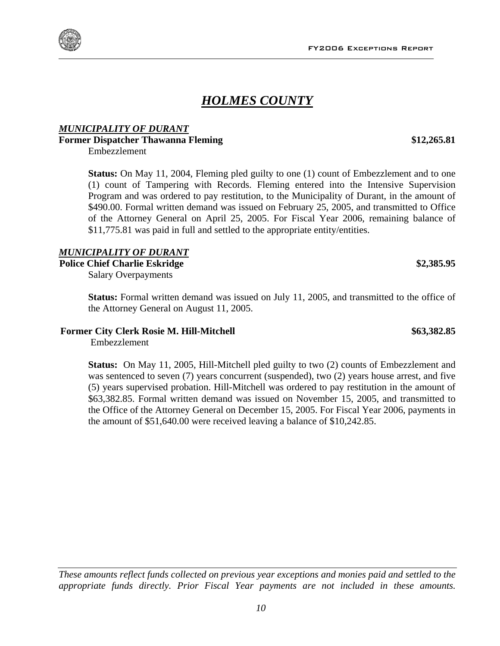### *HOLMES COUNTY*

### *MUNICIPALITY OF DURANT*

### **Former Dispatcher Thawanna Fleming \$12,265.81**

Embezzlement

**Status:** On May 11, 2004, Fleming pled guilty to one (1) count of Embezzlement and to one (1) count of Tampering with Records. Fleming entered into the Intensive Supervision Program and was ordered to pay restitution, to the Municipality of Durant, in the amount of \$490.00. Formal written demand was issued on February 25, 2005, and transmitted to Office of the Attorney General on April 25, 2005. For Fiscal Year 2006, remaining balance of \$11,775.81 was paid in full and settled to the appropriate entity/entities.

#### *MUNICIPALITY OF DURANT*

#### Police Chief Charlie Eskridge **\$2,385.95 \$2,385.95**

Salary Overpayments

**Status:** Formal written demand was issued on July 11, 2005, and transmitted to the office of the Attorney General on August 11, 2005.

#### **Former City Clerk Rosie M. Hill-Mitchell \$63,382.85**

Embezzlement

**Status:** On May 11, 2005, Hill-Mitchell pled guilty to two (2) counts of Embezzlement and was sentenced to seven (7) years concurrent (suspended), two (2) years house arrest, and five (5) years supervised probation. Hill-Mitchell was ordered to pay restitution in the amount of \$63,382.85. Formal written demand was issued on November 15, 2005, and transmitted to the Office of the Attorney General on December 15, 2005. For Fiscal Year 2006, payments in the amount of \$51,640.00 were received leaving a balance of \$10,242.85.



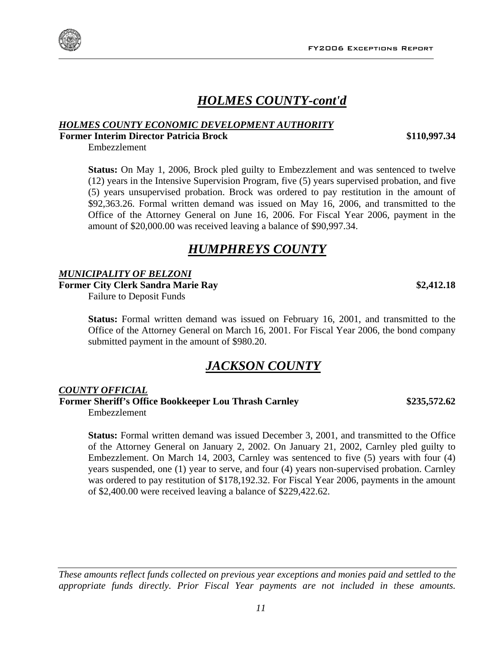

### *HOLMES COUNTY-cont'd*

#### *HOLMES COUNTY ECONOMIC DEVELOPMENT AUTHORITY*

**Former Interim Director Patricia Brock \$110,997.34** 

Embezzlement

**Status:** On May 1, 2006, Brock pled guilty to Embezzlement and was sentenced to twelve (12) years in the Intensive Supervision Program, five (5) years supervised probation, and five (5) years unsupervised probation. Brock was ordered to pay restitution in the amount of \$92,363.26. Formal written demand was issued on May 16, 2006, and transmitted to the Office of the Attorney General on June 16, 2006. For Fiscal Year 2006, payment in the amount of \$20,000.00 was received leaving a balance of \$90,997.34.

### *HUMPHREYS COUNTY*

#### *MUNICIPALITY OF BELZONI*

**Former City Clerk Sandra Marie Ray \$2,412.18** 

Failure to Deposit Funds

**Status:** Formal written demand was issued on February 16, 2001, and transmitted to the Office of the Attorney General on March 16, 2001. For Fiscal Year 2006, the bond company submitted payment in the amount of \$980.20.

### *JACKSON COUNTY*

#### *COUNTY OFFICIAL*

**Former Sheriff's Office Bookkeeper Lou Thrash Carnley \$235,572.62**  Embezzlement

**Status:** Formal written demand was issued December 3, 2001, and transmitted to the Office of the Attorney General on January 2, 2002. On January 21, 2002, Carnley pled guilty to Embezzlement. On March 14, 2003, Carnley was sentenced to five (5) years with four (4) years suspended, one (1) year to serve, and four (4) years non-supervised probation. Carnley was ordered to pay restitution of \$178,192.32. For Fiscal Year 2006, payments in the amount of \$2,400.00 were received leaving a balance of \$229,422.62.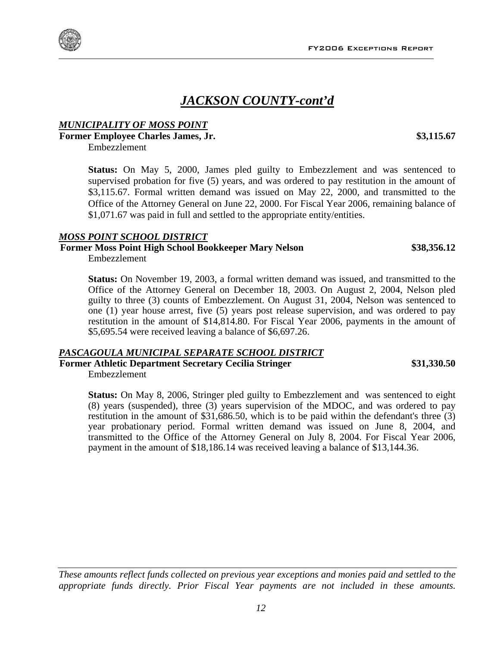### *JACKSON COUNTY-cont'd*

### *MUNICIPALITY OF MOSS POINT*

### **Former Employee Charles James, Jr. \$3,115.67**

Embezzlement

**Status:** On May 5, 2000, James pled guilty to Embezzlement and was sentenced to supervised probation for five (5) years, and was ordered to pay restitution in the amount of \$3,115.67. Formal written demand was issued on May 22, 2000, and transmitted to the Office of the Attorney General on June 22, 2000. For Fiscal Year 2006, remaining balance of \$1,071.67 was paid in full and settled to the appropriate entity/entities.

#### *MOSS POINT SCHOOL DISTRICT*

### **Former Moss Point High School Bookkeeper Mary Nelson \$38,356.12**

Embezzlement

**Status:** On November 19, 2003, a formal written demand was issued, and transmitted to the Office of the Attorney General on December 18, 2003. On August 2, 2004, Nelson pled guilty to three (3) counts of Embezzlement. On August 31, 2004, Nelson was sentenced to one (1) year house arrest, five (5) years post release supervision, and was ordered to pay restitution in the amount of \$14,814.80. For Fiscal Year 2006, payments in the amount of \$5,695.54 were received leaving a balance of \$6,697.26.

#### *PASCAGOULA MUNICIPAL SEPARATE SCHOOL DISTRICT*

**Former Athletic Department Secretary Cecilia Stringer \$31,330.50**  Embezzlement

**Status:** On May 8, 2006, Stringer pled guilty to Embezzlement and was sentenced to eight (8) years (suspended), three (3) years supervision of the MDOC, and was ordered to pay restitution in the amount of \$31,686.50, which is to be paid within the defendant's three (3) year probationary period. Formal written demand was issued on June 8, 2004, and transmitted to the Office of the Attorney General on July 8, 2004. For Fiscal Year 2006, payment in the amount of \$18,186.14 was received leaving a balance of \$13,144.36.



*These amounts reflect funds collected on previous year exceptions and monies paid and settled to the appropriate funds directly. Prior Fiscal Year payments are not included in these amounts.*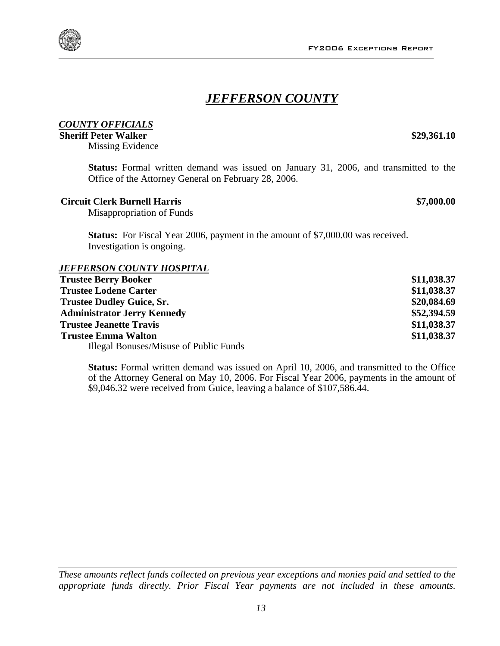### *JEFFERSON COUNTY*

### *COUNTY OFFICIALS*

#### **Sheriff Peter Walker 829,361.10 \$29,361.10**

Missing Evidence

**Status:** Formal written demand was issued on January 31, 2006, and transmitted to the Office of the Attorney General on February 28, 2006.

#### **Circuit Clerk Burnell Harris \$7,000.00**

Misappropriation of Funds

**Status:** For Fiscal Year 2006, payment in the amount of \$7,000.00 was received. Investigation is ongoing.

#### *JEFFERSON COUNTY HOSPITAL*

| <b>Trustee Berry Booker</b>            | \$11,038.37 |
|----------------------------------------|-------------|
| <b>Trustee Lodene Carter</b>           | \$11,038.37 |
| <b>Trustee Dudley Guice, Sr.</b>       | \$20,084.69 |
| <b>Administrator Jerry Kennedy</b>     | \$52,394.59 |
| <b>Trustee Jeanette Travis</b>         | \$11,038.37 |
| <b>Trustee Emma Walton</b>             | \$11,038.37 |
| Illegal Bonuses/Misuse of Public Funds |             |

**Status:** Formal written demand was issued on April 10, 2006, and transmitted to the Office of the Attorney General on May 10, 2006. For Fiscal Year 2006, payments in the amount of \$9,046.32 were received from Guice, leaving a balance of \$107,586.44.

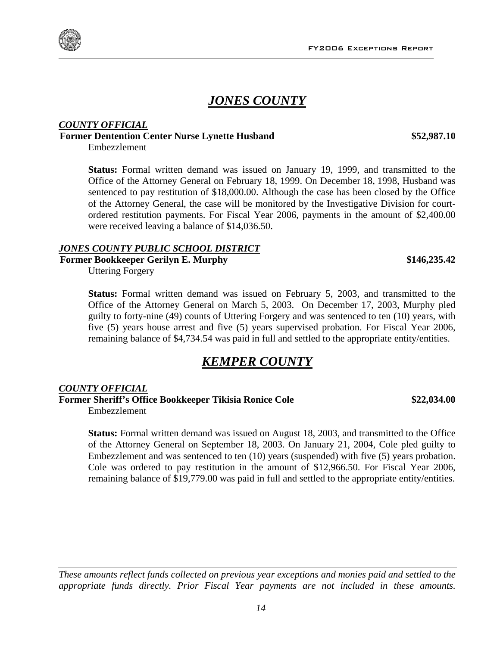### *JONES COUNTY*

#### *COUNTY OFFICIAL* **Former Dentention Center Nurse Lynette Husband \$52,987.10**

Embezzlement

**Status:** Formal written demand was issued on January 19, 1999, and transmitted to the Office of the Attorney General on February 18, 1999. On December 18, 1998, Husband was sentenced to pay restitution of \$18,000.00. Although the case has been closed by the Office of the Attorney General, the case will be monitored by the Investigative Division for courtordered restitution payments. For Fiscal Year 2006, payments in the amount of \$2,400.00 were received leaving a balance of \$14,036.50.

#### *JONES COUNTY PUBLIC SCHOOL DISTRICT*

**Former Bookkeeper Gerilyn E. Murphy**  $$146,235.42$ 

Uttering Forgery

**Status:** Formal written demand was issued on February 5, 2003, and transmitted to the Office of the Attorney General on March 5, 2003. On December 17, 2003, Murphy pled guilty to forty-nine (49) counts of Uttering Forgery and was sentenced to ten (10) years, with five (5) years house arrest and five (5) years supervised probation. For Fiscal Year 2006, remaining balance of \$4,734.54 was paid in full and settled to the appropriate entity/entities.

### *KEMPER COUNTY*

### *COUNTY OFFICIAL*

**Former Sheriff's Office Bookkeeper Tikisia Ronice Cole \$22,034.00**  Embezzlement

**Status:** Formal written demand was issued on August 18, 2003, and transmitted to the Office of the Attorney General on September 18, 2003. On January 21, 2004, Cole pled guilty to Embezzlement and was sentenced to ten (10) years (suspended) with five (5) years probation. Cole was ordered to pay restitution in the amount of \$12,966.50. For Fiscal Year 2006, remaining balance of \$19,779.00 was paid in full and settled to the appropriate entity/entities.



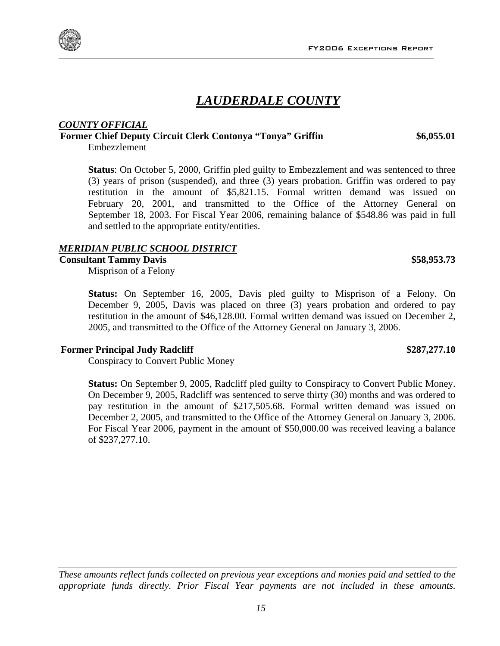### *LAUDERDALE COUNTY*

#### *COUNTY OFFICIAL* **Former Chief Deputy Circuit Clerk Contonya "Tonya" Griffin \$6,055.01**

Embezzlement

**Status**: On October 5, 2000, Griffin pled guilty to Embezzlement and was sentenced to three (3) years of prison (suspended), and three (3) years probation. Griffin was ordered to pay restitution in the amount of \$5,821.15. Formal written demand was issued on February 20, 2001, and transmitted to the Office of the Attorney General on September 18, 2003. For Fiscal Year 2006, remaining balance of \$548.86 was paid in full and settled to the appropriate entity/entities.

### *MERIDIAN PUBLIC SCHOOL DISTRICT*

#### **Consultant Tammy Davis \$58,953.73**

Misprison of a Felony

**Status:** On September 16, 2005, Davis pled guilty to Misprison of a Felony. On December 9, 2005, Davis was placed on three (3) years probation and ordered to pay restitution in the amount of \$46,128.00. Formal written demand was issued on December 2, 2005, and transmitted to the Office of the Attorney General on January 3, 2006.

#### **Former Principal Judy Radcliff**  $$287,277.10$

Conspiracy to Convert Public Money

**Status:** On September 9, 2005, Radcliff pled guilty to Conspiracy to Convert Public Money. On December 9, 2005, Radcliff was sentenced to serve thirty (30) months and was ordered to pay restitution in the amount of \$217,505.68. Formal written demand was issued on December 2, 2005, and transmitted to the Office of the Attorney General on January 3, 2006. For Fiscal Year 2006, payment in the amount of \$50,000.00 was received leaving a balance of \$237,277.10.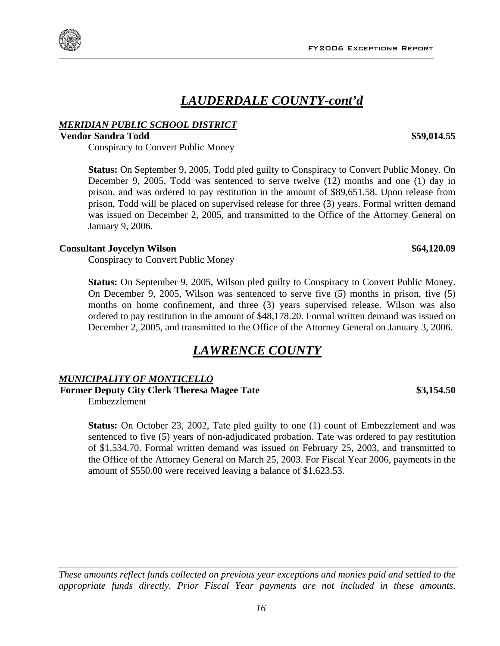### *LAUDERDALE COUNTY-cont'd*

#### *MERIDIAN PUBLIC SCHOOL DISTRICT*

#### **Vendor Sandra Todd \$59,014.55**

Conspiracy to Convert Public Money

**Status:** On September 9, 2005, Todd pled guilty to Conspiracy to Convert Public Money. On December 9, 2005, Todd was sentenced to serve twelve (12) months and one (1) day in prison, and was ordered to pay restitution in the amount of \$89,651.58. Upon release from prison, Todd will be placed on supervised release for three (3) years. Formal written demand was issued on December 2, 2005, and transmitted to the Office of the Attorney General on January 9, 2006.

#### **Consultant Joycelyn Wilson \$64,120.09**

Conspiracy to Convert Public Money

**Status:** On September 9, 2005, Wilson pled guilty to Conspiracy to Convert Public Money. On December 9, 2005, Wilson was sentenced to serve five (5) months in prison, five (5) months on home confinement, and three (3) years supervised release. Wilson was also ordered to pay restitution in the amount of \$48,178.20. Formal written demand was issued on December 2, 2005, and transmitted to the Office of the Attorney General on January 3, 2006.

### *LAWRENCE COUNTY*

#### *MUNICIPALITY OF MONTICELLO*

**Former Deputy City Clerk Theresa Magee Tate \$3,154.50** 

Embezzlement

**Status:** On October 23, 2002, Tate pled guilty to one (1) count of Embezzlement and was sentenced to five (5) years of non-adjudicated probation. Tate was ordered to pay restitution of \$1,534.70. Formal written demand was issued on February 25, 2003, and transmitted to the Office of the Attorney General on March 25, 2003. For Fiscal Year 2006, payments in the amount of \$550.00 were received leaving a balance of \$1,623.53.

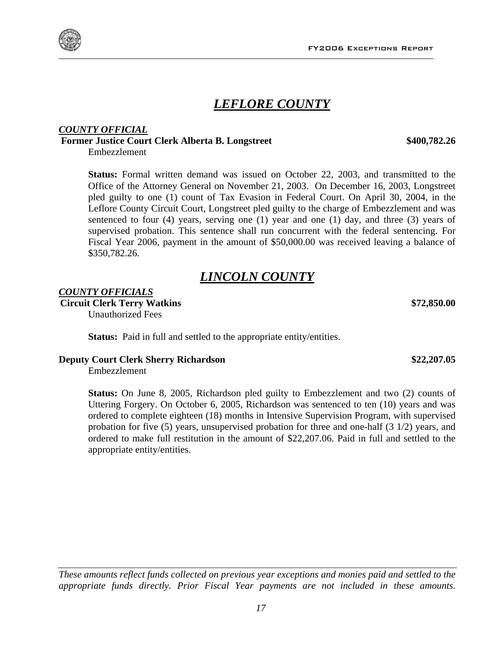### *LEFLORE COUNTY*

### *COUNTY OFFICIAL*

### **Former Justice Court Clerk Alberta B. Longstreet \$400,782.26**

Embezzlement

**Status:** Formal written demand was issued on October 22, 2003, and transmitted to the Office of the Attorney General on November 21, 2003. On December 16, 2003, Longstreet pled guilty to one (1) count of Tax Evasion in Federal Court. On April 30, 2004, in the Leflore County Circuit Court, Longstreet pled guilty to the charge of Embezzlement and was sentenced to four (4) years, serving one (1) year and one (1) day, and three (3) years of supervised probation. This sentence shall run concurrent with the federal sentencing. For Fiscal Year 2006, payment in the amount of \$50,000.00 was received leaving a balance of \$350,782.26.

### *LINCOLN COUNTY*

### *COUNTY OFFICIALS* **Circuit Clerk Terry Watkins \$72,850.00**

Unauthorized Fees

**Status:** Paid in full and settled to the appropriate entity/entities.

### **Deputy Court Clerk Sherry Richardson \$22,207.05**

Embezzlement

**Status:** On June 8, 2005, Richardson pled guilty to Embezzlement and two (2) counts of Uttering Forgery. On October 6, 2005, Richardson was sentenced to ten (10) years and was ordered to complete eighteen (18) months in Intensive Supervision Program, with supervised probation for five (5) years, unsupervised probation for three and one-half (3 1/2) years, and ordered to make full restitution in the amount of \$22,207.06. Paid in full and settled to the appropriate entity/entities.

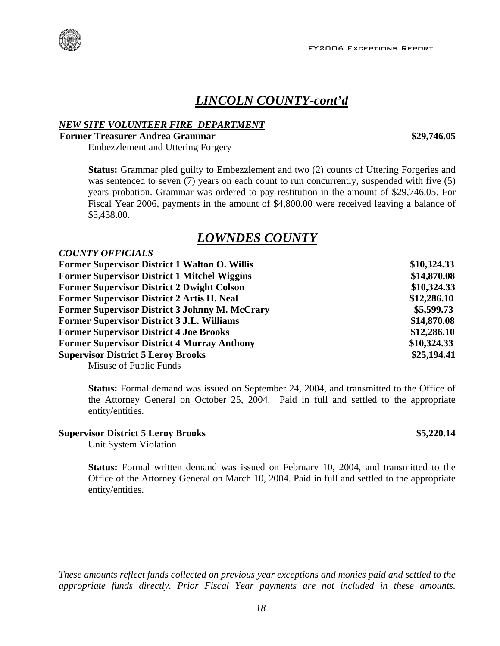### *LINCOLN COUNTY-cont'd*

#### *NEW SITE VOLUNTEER FIRE DEPARTMENT*

#### **Former Treasurer Andrea Grammar \$29,746.05**

Embezzlement and Uttering Forgery

**Status:** Grammar pled guilty to Embezzlement and two (2) counts of Uttering Forgeries and was sentenced to seven (7) years on each count to run concurrently, suspended with five (5) years probation. Grammar was ordered to pay restitution in the amount of \$29,746.05. For Fiscal Year 2006, payments in the amount of \$4,800.00 were received leaving a balance of \$5,438.00.

### *LOWNDES COUNTY*

| <b>COUNTY OFFICIALS</b> |
|-------------------------|
|                         |

| <b>Former Supervisor District 1 Walton O. Willis</b>  | \$10,324.33 |
|-------------------------------------------------------|-------------|
| <b>Former Supervisor District 1 Mitchel Wiggins</b>   | \$14,870.08 |
| <b>Former Supervisor District 2 Dwight Colson</b>     | \$10,324.33 |
| <b>Former Supervisor District 2 Artis H. Neal</b>     | \$12,286.10 |
| <b>Former Supervisor District 3 Johnny M. McCrary</b> | \$5,599.73  |
| <b>Former Supervisor District 3 J.L. Williams</b>     | \$14,870.08 |
| <b>Former Supervisor District 4 Joe Brooks</b>        | \$12,286.10 |
| <b>Former Supervisor District 4 Murray Anthony</b>    | \$10,324.33 |
| <b>Supervisor District 5 Leroy Brooks</b>             | \$25,194.41 |
| Misuse of Public Funds                                |             |

**Status:** Formal demand was issued on September 24, 2004, and transmitted to the Office of the Attorney General on October 25, 2004. Paid in full and settled to the appropriate entity/entities.

#### **Supervisor District 5 Leroy Brooks \$5,220.14**

Unit System Violation

**Status:** Formal written demand was issued on February 10, 2004, and transmitted to the Office of the Attorney General on March 10, 2004. Paid in full and settled to the appropriate entity/entities.

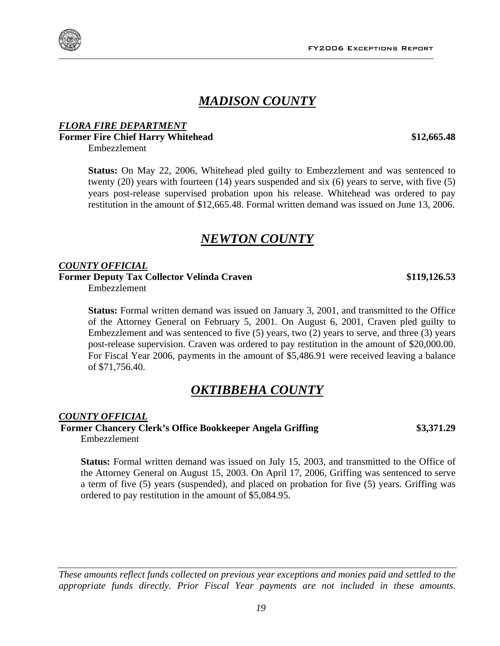### *MADISON COUNTY*

### *FLORA FIRE DEPARTMENT* **Former Fire Chief Harry Whitehead \$12,665.48**

Embezzlement

**Status:** On May 22, 2006, Whitehead pled guilty to Embezzlement and was sentenced to twenty (20) years with fourteen (14) years suspended and six (6) years to serve, with five (5) years post-release supervised probation upon his release. Whitehead was ordered to pay restitution in the amount of \$12,665.48. Formal written demand was issued on June 13, 2006.

### *NEWTON COUNTY*

#### *COUNTY OFFICIAL*

Former Deputy Tax Collector Velinda Craven **\$119,126.53** 

Embezzlement

**Status:** Formal written demand was issued on January 3, 2001, and transmitted to the Office of the Attorney General on February 5, 2001. On August 6, 2001, Craven pled guilty to Embezzlement and was sentenced to five (5) years, two (2) years to serve, and three (3) years post-release supervision. Craven was ordered to pay restitution in the amount of \$20,000.00. For Fiscal Year 2006, payments in the amount of \$5,486.91 were received leaving a balance of \$71,756.40.

### *OKTIBBEHA COUNTY*

#### *COUNTY OFFICIAL*

**Former Chancery Clerk's Office Bookkeeper Angela Griffing \$3,371.29**  Embezzlement

**Status:** Formal written demand was issued on July 15, 2003, and transmitted to the Office of the Attorney General on August 15, 2003. On April 17, 2006, Griffing was sentenced to serve a term of five (5) years (suspended), and placed on probation for five (5) years. Griffing was ordered to pay restitution in the amount of \$5,084.95.

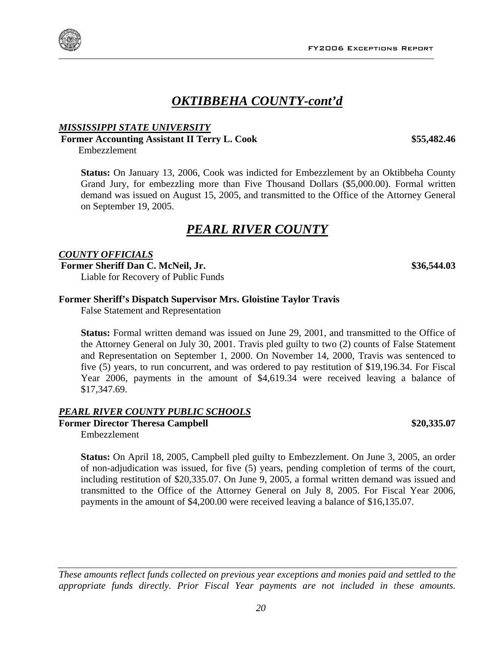### *OKTIBBEHA COUNTY-cont'd*

#### *MISSISSIPPI STATE UNIVERSITY*

### **Former Accounting Assistant II Terry L. Cook \$55,482.46**

Embezzlement

**Status:** On January 13, 2006, Cook was indicted for Embezzlement by an Oktibbeha County Grand Jury, for embezzling more than Five Thousand Dollars (\$5,000.00). Formal written demand was issued on August 15, 2005, and transmitted to the Office of the Attorney General on September 19, 2005.

### *PEARL RIVER COUNTY*

#### *COUNTY OFFICIALS*

**Former Sheriff Dan C. McNeil, Jr. \$36,544.03**

Liable for Recovery of Public Funds

#### **Former Sheriff's Dispatch Supervisor Mrs. Gloistine Taylor Travis**

False Statement and Representation

**Status:** Formal written demand was issued on June 29, 2001, and transmitted to the Office of the Attorney General on July 30, 2001. Travis pled guilty to two (2) counts of False Statement and Representation on September 1, 2000. On November 14, 2000, Travis was sentenced to five (5) years, to run concurrent, and was ordered to pay restitution of \$19,196.34. For Fiscal Year 2006, payments in the amount of \$4,619.34 were received leaving a balance of \$17,347.69.

### *PEARL RIVER COUNTY PUBLIC SCHOOLS*

**Former Director Theresa Campbell \$20,335.07** 

Embezzlement

**Status:** On April 18, 2005, Campbell pled guilty to Embezzlement. On June 3, 2005, an order of non-adjudication was issued, for five (5) years, pending completion of terms of the court, including restitution of \$20,335.07. On June 9, 2005, a formal written demand was issued and transmitted to the Office of the Attorney General on July 8, 2005. For Fiscal Year 2006, payments in the amount of \$4,200.00 were received leaving a balance of \$16,135.07.



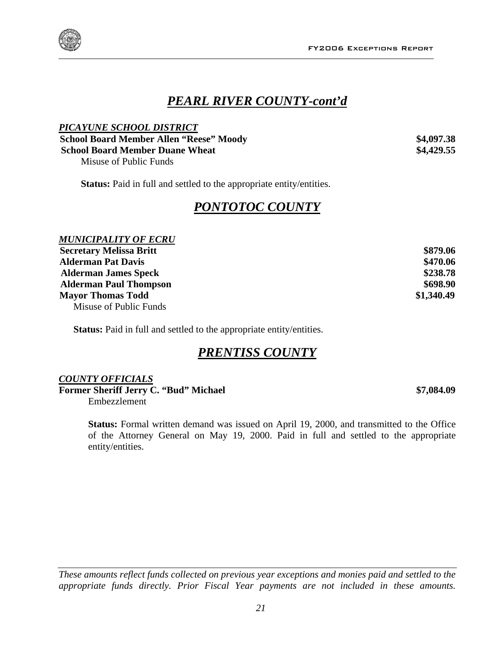



### *PEARL RIVER COUNTY-cont'd*

| PICAYUNE SCHOOL DISTRICT                       |            |
|------------------------------------------------|------------|
| <b>School Board Member Allen "Reese" Moody</b> | \$4,097.38 |
| <b>School Board Member Duane Wheat</b>         | \$4,429.55 |
| Misuse of Public Funds                         |            |

**Status:** Paid in full and settled to the appropriate entity/entities.

### *PONTOTOC COUNTY*

#### *MUNICIPALITY OF ECRU*

| <b>Secretary Melissa Britt</b> | \$879.06   |
|--------------------------------|------------|
| <b>Alderman Pat Davis</b>      | \$470.06   |
| <b>Alderman James Speck</b>    | \$238.78   |
| <b>Alderman Paul Thompson</b>  | \$698.90   |
| <b>Mayor Thomas Todd</b>       | \$1,340.49 |
| Misuse of Public Funds         |            |

**Status:** Paid in full and settled to the appropriate entity/entities.

### *PRENTISS COUNTY*

## *COUNTY OFFICIALS*

**Former Sheriff Jerry C. "Bud" Michael \$7,084.09 \$7,084.09** Embezzlement

**Status:** Formal written demand was issued on April 19, 2000, and transmitted to the Office of the Attorney General on May 19, 2000. Paid in full and settled to the appropriate entity/entities.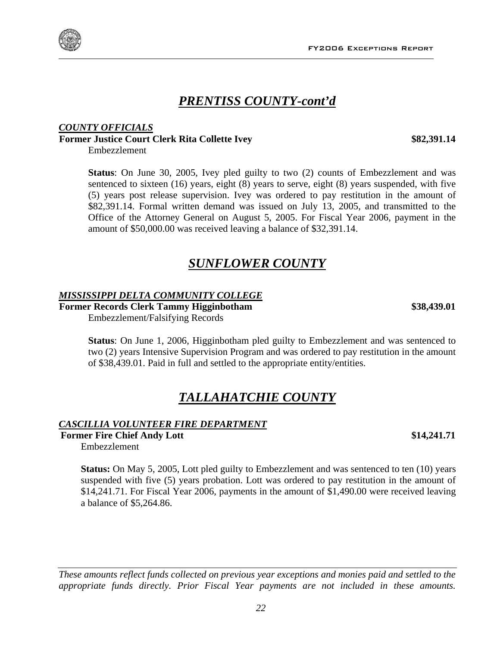### *PRENTISS COUNTY-cont'd*

#### *COUNTY OFFICIALS* **Former Justice Court Clerk Rita Collette Ivey \$82,391.14**

Embezzlement

**Status**: On June 30, 2005, Ivey pled guilty to two (2) counts of Embezzlement and was sentenced to sixteen (16) years, eight (8) years to serve, eight (8) years suspended, with five (5) years post release supervision. Ivey was ordered to pay restitution in the amount of \$82,391.14. Formal written demand was issued on July 13, 2005, and transmitted to the Office of the Attorney General on August 5, 2005. For Fiscal Year 2006, payment in the amount of \$50,000.00 was received leaving a balance of \$32,391.14.

### *SUNFLOWER COUNTY*

### *MISSISSIPPI DELTA COMMUNITY COLLEGE*

**Former Records Clerk Tammy Higginbotham \$38,439.01**  Embezzlement/Falsifying Records

**Status**: On June 1, 2006, Higginbotham pled guilty to Embezzlement and was sentenced to two (2) years Intensive Supervision Program and was ordered to pay restitution in the amount of \$38,439.01. Paid in full and settled to the appropriate entity/entities.

### *TALLAHATCHIE COUNTY*

#### *CASCILLIA VOLUNTEER FIRE DEPARTMENT*

**Former Fire Chief Andy Lott** \$14,241.71

Embezzlement

**Status:** On May 5, 2005, Lott pled guilty to Embezzlement and was sentenced to ten (10) years suspended with five (5) years probation. Lott was ordered to pay restitution in the amount of \$14,241.71. For Fiscal Year 2006, payments in the amount of \$1,490.00 were received leaving a balance of \$5,264.86.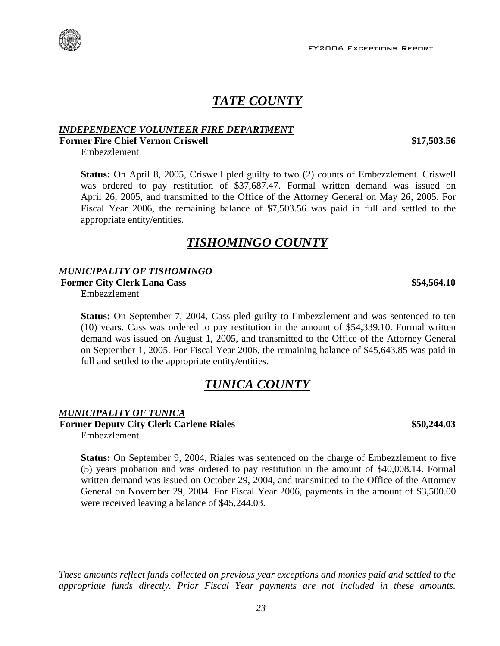FY2006 Exceptions Report

### *TATE COUNTY*

### *INDEPENDENCE VOLUNTEER FIRE DEPARTMENT*

### **Former Fire Chief Vernon Criswell \$17,503.56 \$17,503.56**

Embezzlement

**Status:** On April 8, 2005, Criswell pled guilty to two (2) counts of Embezzlement. Criswell was ordered to pay restitution of \$37,687.47. Formal written demand was issued on April 26, 2005, and transmitted to the Office of the Attorney General on May 26, 2005. For Fiscal Year 2006, the remaining balance of \$7,503.56 was paid in full and settled to the appropriate entity/entities.

### *TISHOMINGO COUNTY*

#### *MUNICIPALITY OF TISHOMINGO*

**Former City Clerk Lana Cass \$54,564.10**  Embezzlement

**Status:** On September 7, 2004, Cass pled guilty to Embezzlement and was sentenced to ten (10) years. Cass was ordered to pay restitution in the amount of \$54,339.10. Formal written demand was issued on August 1, 2005, and transmitted to the Office of the Attorney General on September 1, 2005. For Fiscal Year 2006, the remaining balance of \$45,643.85 was paid in full and settled to the appropriate entity/entities.

### *TUNICA COUNTY*

#### *MUNICIPALITY OF TUNICA*

**Former Deputy City Clerk Carlene Riales \$50,244.03**  Embezzlement

**Status:** On September 9, 2004, Riales was sentenced on the charge of Embezzlement to five (5) years probation and was ordered to pay restitution in the amount of \$40,008.14. Formal written demand was issued on October 29, 2004, and transmitted to the Office of the Attorney General on November 29, 2004. For Fiscal Year 2006, payments in the amount of \$3,500.00 were received leaving a balance of \$45,244.03.

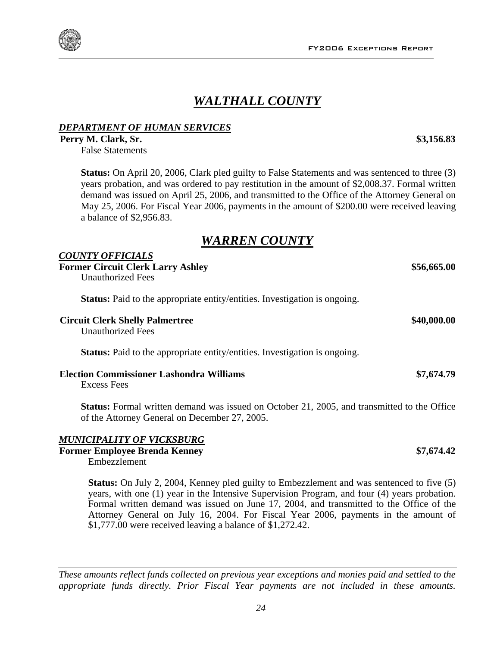### *WALTHALL COUNTY*

### *DEPARTMENT OF HUMAN SERVICES*

**Perry M. Clark, Sr. \$3,156.83** 

False Statements

**Status:** On April 20, 2006, Clark pled guilty to False Statements and was sentenced to three (3) years probation, and was ordered to pay restitution in the amount of \$2,008.37. Formal written demand was issued on April 25, 2006, and transmitted to the Office of the Attorney General on May 25, 2006. For Fiscal Year 2006, payments in the amount of \$200.00 were received leaving a balance of \$2,956.83.

### *WARREN COUNTY*

#### *COUNTY OFFICIALS*

**Former Circuit Clerk Larry Ashley**   $$56,665.00$ Unauthorized Fees **Status:** Paid to the appropriate entity/entities. Investigation is ongoing. **Circuit Clerk Shelly Palmertree \$40,000.00**  Unauthorized Fees **Status:** Paid to the appropriate entity/entities. Investigation is ongoing.

## **Election Commissioner Lashondra Williams \$7,674.79**

Excess Fees

**Status:** Formal written demand was issued on October 21, 2005, and transmitted to the Office of the Attorney General on December 27, 2005.

### *MUNICIPALITY OF VICKSBURG*

**Former Employee Brenda Kenney <b>\$7,674.42 \$7,674.42** 

Embezzlement

**Status:** On July 2, 2004, Kenney pled guilty to Embezzlement and was sentenced to five (5) years, with one (1) year in the Intensive Supervision Program, and four (4) years probation. Formal written demand was issued on June 17, 2004, and transmitted to the Office of the Attorney General on July 16, 2004. For Fiscal Year 2006, payments in the amount of \$1,777.00 were received leaving a balance of \$1,272.42.

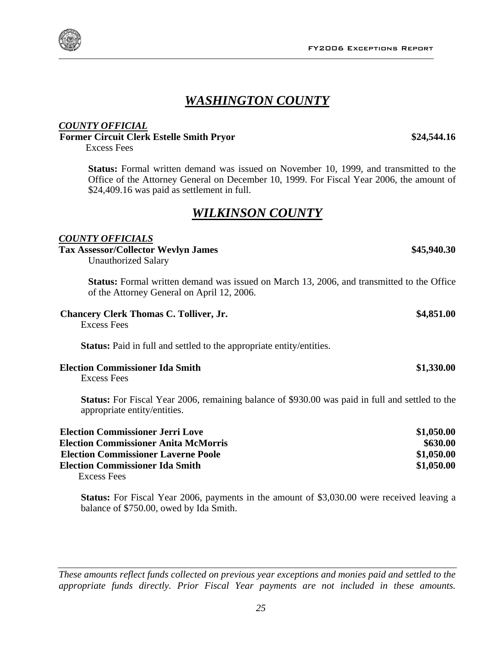### *WASHINGTON COUNTY*

### *COUNTY OFFICIAL*

**Former Circuit Clerk Estelle Smith Pryor \$24,544.16** 

Excess Fees

**Status:** Formal written demand was issued on November 10, 1999, and transmitted to the Office of the Attorney General on December 10, 1999. For Fiscal Year 2006, the amount of \$24,409.16 was paid as settlement in full.

### *WILKINSON COUNTY*

#### *COUNTY OFFICIALS*

#### **Tax Assessor/Collector Wevlyn James \$45,940.30**

Unauthorized Salary

**Status:** Formal written demand was issued on March 13, 2006, and transmitted to the Office of the Attorney General on April 12, 2006.

| <b>Chancery Clerk Thomas C. Tolliver, Jr.</b> | \$4,851.00 |
|-----------------------------------------------|------------|
| Excess Fees                                   |            |

**Status:** Paid in full and settled to the appropriate entity/entities.

#### **Election Commissioner Ida Smith \$1,330.00**

Excess Fees

**Status:** For Fiscal Year 2006, remaining balance of \$930.00 was paid in full and settled to the appropriate entity/entities.

| <b>Election Commissioner Jerri Love</b>     | \$1,050.00 |
|---------------------------------------------|------------|
| <b>Election Commissioner Anita McMorris</b> | \$630.00   |
| <b>Election Commissioner Laverne Poole</b>  | \$1,050.00 |
| <b>Election Commissioner Ida Smith</b>      | \$1,050.00 |
|                                             |            |

Excess Fees

**Status:** For Fiscal Year 2006, payments in the amount of \$3,030.00 were received leaving a balance of \$750.00, owed by Ida Smith.

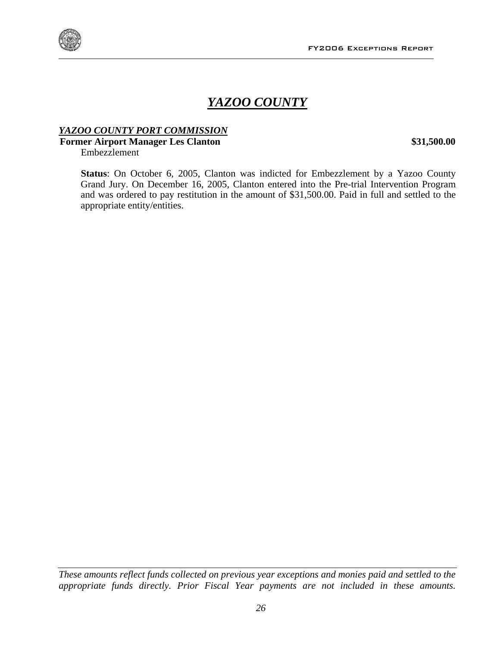

### *YAZOO COUNTY*

### *YAZOO COUNTY PORT COMMISSION*

### **Former Airport Manager Les Clanton 631,500.00 \$31,500.00**

Embezzlement

**Status**: On October 6, 2005, Clanton was indicted for Embezzlement by a Yazoo County Grand Jury. On December 16, 2005, Clanton entered into the Pre-trial Intervention Program and was ordered to pay restitution in the amount of \$31,500.00. Paid in full and settled to the appropriate entity/entities.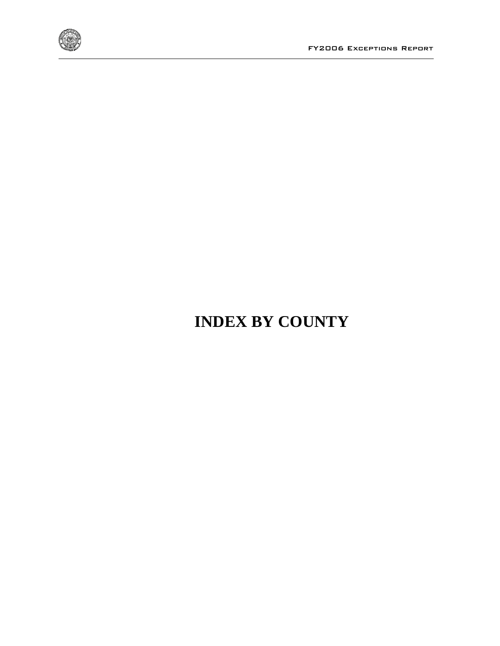

## **INDEX BY COUNTY**